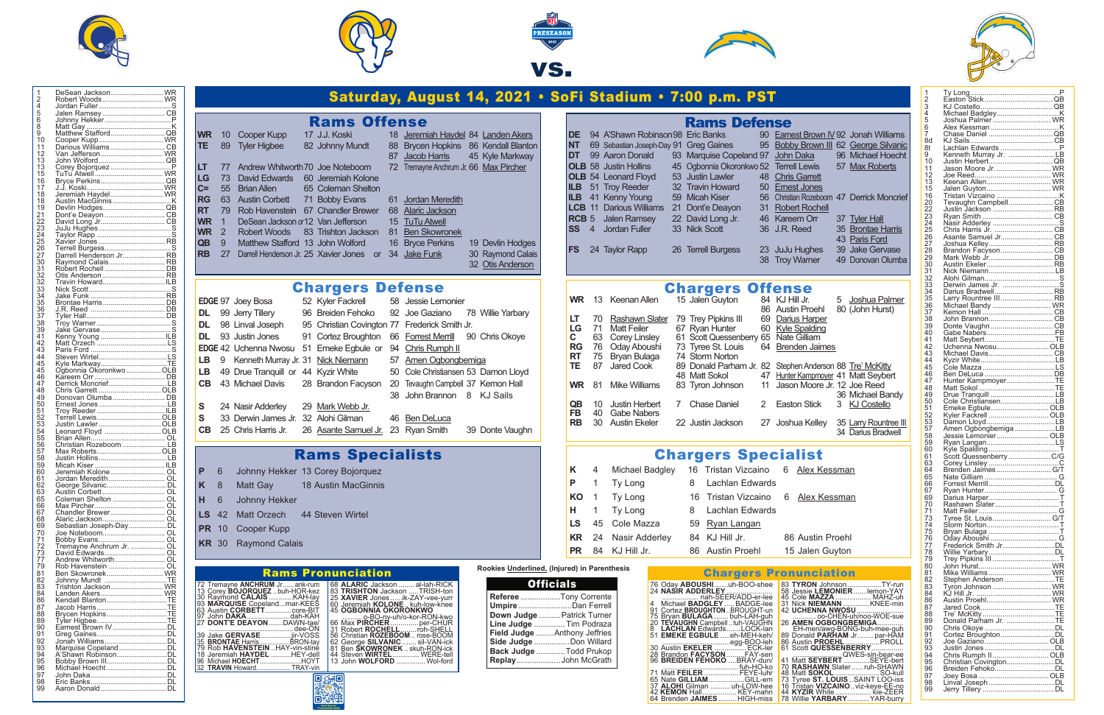



**Chargers Defense**<br>52 Kyler Fackrell 58 Jessie Lemonier

| 1<br>2          | DeSean Jackson WR                         |  |
|-----------------|-------------------------------------------|--|
| 4               | Robert Woods  WR                          |  |
|                 |                                           |  |
| 5<br>6          |                                           |  |
| ŏ               |                                           |  |
| 9               |                                           |  |
| 10              |                                           |  |
| 11              |                                           |  |
| 12              | Van Jefferson WR                          |  |
| 13              |                                           |  |
| 13              |                                           |  |
| 15              | TuTu Atwell  WR                           |  |
| 16              |                                           |  |
| 17              |                                           |  |
| 18              |                                           |  |
| 18              |                                           |  |
| 19<br>21        | Devlin Hodges QB                          |  |
|                 |                                           |  |
| 22              |                                           |  |
| $\overline{23}$ |                                           |  |
| 24              |                                           |  |
| 25              | Xavier Jones  RB                          |  |
| 26              |                                           |  |
| 27              |                                           |  |
| 30<br>31        | Raymond Calais RB                         |  |
|                 |                                           |  |
| 32<br>32        | Otis Anderson  RB<br>Travin HowardILB     |  |
| $\overline{33}$ |                                           |  |
| 34              |                                           |  |
|                 |                                           |  |
| 35<br>36        |                                           |  |
|                 |                                           |  |
| 37<br>38        |                                           |  |
| 39              |                                           |  |
| 41              | Kenny Young ILB                           |  |
| 42              | Matt Orzech LS                            |  |
| 43              |                                           |  |
| 44              |                                           |  |
| 45              | Kyle MarkwayTE<br>Ogbonnia Okoronkwo  OLB |  |
| 45              |                                           |  |
| 46              |                                           |  |
| 47              | Derrick MoncriefLB                        |  |
| 48              |                                           |  |
| 49              |                                           |  |
| 50<br>51        | Ernest Jones LB                           |  |
| 52              |                                           |  |
| 53              |                                           |  |
| 54              | Leonard Floyd OLB                         |  |
| 55              |                                           |  |
| 56              | Christian Rozeboom LB                     |  |
| 57              |                                           |  |
| 58              | Justin HollinsLB                          |  |
| 59              |                                           |  |
| 60              |                                           |  |
| 61              | Jordan Meredith  OL                       |  |
| 62              | George SilvanicDL                         |  |
| 63              |                                           |  |
| 65              | Coleman Shelton  OL                       |  |
| 66              |                                           |  |
| 67              | Chandler Brewer OL                        |  |
| 68              |                                           |  |
| 69              |                                           |  |
| 70<br>71        |                                           |  |
| 72              | Tremayne Anchrum Jr.  OL                  |  |
| 73              | David Edwards OL                          |  |
| 77              | Andrew Whitworth OL                       |  |
| 79              | Rob Havenstein  OL                        |  |
| 81              | Ben Skowronek WR                          |  |
| 82              | Johnny Mundt TE                           |  |
| 83              | Trishton Jackson WR                       |  |
| 84              | Landen Akers WR                           |  |
| 86              | Kendall BlantonTE                         |  |
| 87              |                                           |  |
| 88              | Brycen HopkinsTE                          |  |
| 89              |                                           |  |
| 90              |                                           |  |
| 91              |                                           |  |
| 92              |                                           |  |
| 93              |                                           |  |
| 94              | A'Shawn RobinsonDL                        |  |
| 95              |                                           |  |
| 96<br>97        | Michael Hoecht DL                         |  |
| 98              |                                           |  |
| 99              |                                           |  |
|                 |                                           |  |

### **Rams Offense**<br>17 J.J. Koski 18 Jeremi **WR** 10 Cooper Kupp 17 J.J. Koski 18 Jeremiah Haydel 84 Landen Akers **TE** 89 Tyler Higbee 82 Johnny Mundt 88 Brycen Hopkins 86 Kendall Blanton Jacob Harris 45 Kyle Markway **LT** 77 Andrew Whitworth 70 Joe Noteboom 72 Tremayne Anchrum Jr. 66 Max Pircher LG 73 David Edwards 60 Jeremiah Kolone<br>C= 55 Brian Allen 65 Coleman Shelton  $|C= 55$  Brian Allen **RG** 63 Austin Corbett 71 Bobby Evans 61 Jordan Meredith **RT** 79 Rob Havenstein 67 Chandler Brewer 68 Alaric Jackson **WR** 1 DeSean Jackson or12 Van Jefferson 15 TuTu Atwell **WR** 2 Robert Woods 83 Trishton Jackson 81 Ben Skowronek **QB** 9 Matthew Stafford 13 John Wolford 16 Bryce Perkins 19 Devlin Hodges<br>**RB** 27 Darrell Henderson Jr. 25 Xavier Jones or 34 Jake Funk 30 Raymond Calais DE 94 A'Shawn F **NT** 69 Sebastian Joseph **DT** 99 Aaron Don **OLB** 58 Justin Holl **OLB** 54 Leonard F **ILB** 51 Troy Reed **ILB** 41 Kenny You LCB 11 Darious W **RCB** 5 Jalen Ran **SS** 4 Jordan Full

LB 49 Drue Tranquill or 44 Kyzir White 50 Cole Christiansen 53 Damon Lloyd **CB** 43 Michael Davis 28 Brandon Facyson 20 Tevaughn Campbell 37 Kemon Hall

| $\frac{1}{2}$              |                                          |  |
|----------------------------|------------------------------------------|--|
|                            |                                          |  |
|                            |                                          |  |
| 4<br>5<br>6                | Joshua Palmer  WR                        |  |
| $\tilde{7}$                |                                          |  |
| 8d                         |                                          |  |
| 8t                         | Lachlan Edwards  P                       |  |
| 9                          |                                          |  |
| 10                         |                                          |  |
| 11                         | Jason Moore Jr.  WR                      |  |
| $\overline{12}$            |                                          |  |
| $\overline{13}$            | Keenan Allen WR                          |  |
| 15                         | Jalen Guyton WR                          |  |
| 16<br>20                   |                                          |  |
|                            | Tevaughn CampbellCB                      |  |
| -<br>22                    | Justin Jackson  RB                       |  |
| $\overline{2}\overline{3}$ |                                          |  |
| 24                         |                                          |  |
| 25                         | Chris Harris Jr. CB                      |  |
| 26<br>27                   |                                          |  |
|                            |                                          |  |
| 28<br>29                   |                                          |  |
| 30                         | Austin Ekeler RB                         |  |
|                            | Nick NiemannLB                           |  |
| 31<br>32                   |                                          |  |
| 33                         | Derwin James Jr. S                       |  |
| -<br>34                    | Darius Bradwell RB                       |  |
|                            | Larry Rountree III RB                    |  |
| 35<br>36                   | Michael Bandy  WR                        |  |
| $\overline{37}$            |                                          |  |
| 38                         |                                          |  |
| 39                         |                                          |  |
| $\bar{4}0$                 |                                          |  |
| 41                         |                                          |  |
| 42                         | Uchenna Nwosu OLB                        |  |
| 43                         | Michael Davis CB                         |  |
| 44                         |                                          |  |
| 45                         |                                          |  |
| 46                         |                                          |  |
| 47                         | Hunter KampmoyerTE                       |  |
| 48                         |                                          |  |
|                            |                                          |  |
| 49                         |                                          |  |
| 50                         | Cole ChristiansenLB                      |  |
| 51                         | Emeke EgbuleOLB                          |  |
| 52                         | Kyler Fackrell OLB                       |  |
| 53                         | Damon LloydLB                            |  |
| 57                         | Amen OgbongbemigaLB                      |  |
| 58                         | Jessie LemonierOLB                       |  |
| 59<br>60                   |                                          |  |
| 61                         |                                          |  |
| 63                         |                                          |  |
| 64                         |                                          |  |
| 65                         |                                          |  |
| 66                         |                                          |  |
| 67                         |                                          |  |
| 69                         |                                          |  |
| 70                         | Rashawn SlaterT                          |  |
| 71                         |                                          |  |
| 73                         | Tyree St. Louis G/T                      |  |
| 74                         |                                          |  |
| 75                         |                                          |  |
| 76                         |                                          |  |
| 77                         |                                          |  |
| 78                         |                                          |  |
| 79<br>80                   |                                          |  |
| 81                         |                                          |  |
| 82                         |                                          |  |
| 83                         | Stephen Anderson TE<br>Tyron Johnson  WR |  |
| 84                         |                                          |  |
| 86                         | Austin Proehl WR                         |  |
| 87                         |                                          |  |
| 88                         |                                          |  |
| 89                         | Donald Parham Jr. TE                     |  |
| 90                         |                                          |  |
|                            | Cortez BroughtonDL                       |  |
| 91<br>92                   | Joe GazianoOLB                           |  |
|                            |                                          |  |
|                            | Chris Rumph IIOLB                        |  |
| 93<br>94<br>95<br>96       |                                          |  |
| 97                         | Breiden FehokoDL                         |  |
| 98                         | Linval Joseph DL                         |  |





**DL** 99 Jerry Tillery 96 Breiden Fehoko 92 Joe Gaziano 78 Willie Yarbary

**DL** 93 Justin Jones 91 Cortez Broughton 66 Forrest Merrill 90 Chris Okoye

**EDGE** 42 Uchenna Nwosu 51 Emeke Egbule or 94 Chris Rumph II

**S** 33 Derwin James Jr. 32 Alohi Gilman 46 Ben DeLuca

**S** 24 Nasir Adderley 29 Mark Webb Jr.

**CB** 25 Chris Harris Jr. 26 Asante Samuel Jr. 23 Ryan Smith 39 Donte Vaughn

Rams Specialists

**P** 6 Johnny Hekker 13 Corey Bojorquez **K** 8 Matt Gay 18 Austin MacGinnis

LS 42 Matt Orzech 44 Steven Wirtel

**H** 6 Johnny Hekker

**PR** 10 Cooper Kupp **KR** 30 Raymond Calais

**EDGE** 97 Joey Bosa

| WR.       |    | 13 Keenan Allen       |   | 15 Jalen Guyton                          |   | 84 KJ Hill Jr.      |
|-----------|----|-----------------------|---|------------------------------------------|---|---------------------|
|           |    |                       |   |                                          |   | 86 Austin Proehl    |
| LT        | 70 | Rashawn Slater        |   | 79 Trey Pipkins III                      |   | 69 Darius Harper    |
| LG        | 71 | <b>Matt Feiler</b>    |   | 67 Ryan Hunter                           |   | 60 Kyle Spalding    |
| C .       | 63 | Corey Linsley         |   | 61 Scott Quessenberry 65 Nate Gilliam    |   |                     |
| RG        |    | 76 Oday Aboushi       |   | 73 Tyree St. Louis                       |   | 64 Brenden Jaimes   |
| RT        | 75 | Bryan Bulaga          |   | 74 Storm Norton                          |   |                     |
| TE        | 87 | Jared Cook            |   | 89 Donald Parham Jr. 82 Stephen Anderson |   |                     |
|           |    |                       |   | 48 Matt Sokol                            |   | 47 Hunter Kampmoyer |
| <b>WR</b> | 81 | <b>Mike Williams</b>  |   | 83 Tyron Johnson                         |   | 11 Jason Moore Jr.  |
|           |    |                       |   |                                          |   |                     |
| QB        | 10 | <b>Justin Herbert</b> | 7 | <b>Chase Daniel</b>                      | 2 | <b>Easton Stick</b> |
| FB        | 40 | <b>Gabe Nabers</b>    |   |                                          |   |                     |
| RB        |    | 30 Austin Ekeler      |   | 22 Justin Jackson                        |   | 27 Joshua Kelley    |
|           |    |                       |   |                                          |   |                     |

|  | K 4 Michael Badgley  | 16 Tristan Vizcaino 6 Alex Kessman |                  |
|--|----------------------|------------------------------------|------------------|
|  | P 1 Ty Long          | 8 Lachlan Edwards                  |                  |
|  | KO 1 Ty Long         | 16 Tristan Vizcaino 6 Alex Kessman |                  |
|  | H 1 Ty Long          | 8 Lachlan Edwards                  |                  |
|  | LS 45 Cole Mazza     | 59 Ryan Langan                     |                  |
|  | KR 24 Nasir Adderley | 84 KJ Hill Jr.                     | 86 Austin Proehl |
|  | PR 84 KJ Hill Jr.    | 86 Austin Proehl                   | 15 Jalen Guyton  |

**RB** 27 Darrell Henderson Jr. 25 Xavier Jones or 34 Jake Funk

DL 98 Linval Joseph 95 Christian Covington 77 Frederick Smith Jr.

LB 9 Kenneth Murray Jr. 31 Nick Niemann 57 Amen Ogbongbemiga

| 72 Tremayne ANCHRUM Jr ank-rum<br>13 Corey BOJORQUEZ buh-HOR-kez<br>30 Raymond CALAIS KAH-lay<br>93 MARQUISE Copelandmar-KEES<br>63 Austin CORBETT core-BIT<br>97 John DAKAdah-KAH<br>27 DONT'E DEAYON DAWN-tae/ |  |
|------------------------------------------------------------------------------------------------------------------------------------------------------------------------------------------------------------------|--|
| dee-ON<br>39 Jake GERVASE jir-VOSS<br>35 BRONTAE Harris BRON-tay<br>79 Rob HAVENSTEIN  HAY-vin-stine<br>18 Jeremiah HAYDEL HEY-dell<br>196 Michael HOECHTHOYT<br>32 TRAVIN HowardTRAY-vin                        |  |

|                                                                                                                                                                                                                                                                                                                                                                                                                                                                                                                                                                    | Saturday, August 14, 2021 • SoFi Stadium • 7:00 p.m. PST                                                                                                                                                                                                                                                                                                                                                                                                                                                                                                                                                                                                                                                                                                                                                                                                                                                                                                                                                                                                                                                           |
|--------------------------------------------------------------------------------------------------------------------------------------------------------------------------------------------------------------------------------------------------------------------------------------------------------------------------------------------------------------------------------------------------------------------------------------------------------------------------------------------------------------------------------------------------------------------|--------------------------------------------------------------------------------------------------------------------------------------------------------------------------------------------------------------------------------------------------------------------------------------------------------------------------------------------------------------------------------------------------------------------------------------------------------------------------------------------------------------------------------------------------------------------------------------------------------------------------------------------------------------------------------------------------------------------------------------------------------------------------------------------------------------------------------------------------------------------------------------------------------------------------------------------------------------------------------------------------------------------------------------------------------------------------------------------------------------------|
| ams Offense<br>J. Koski<br>18 Jeremiah Haydel 84 Landen Akers<br>hnny Mundt<br>Brycen Hopkins 86 Kendall Blanton<br>88<br>45 Kyle Markway<br>87<br>Jacob Harris<br>72 Tremayne Anchrum Jr. 66 Max Pircher<br>e Noteboom<br>remiah Kolone<br><b>pleman Shelton</b><br>bbby Evans<br>61 Jordan Meredith<br>andler Brewer<br>68 Alaric Jackson<br><b>an Jefferson</b><br>15 TuTu Atwell<br>ishton Jackson<br>81 Ben Skowronek<br><b>Bryce Perkins</b><br>hn Wolford<br>16<br>19 Devlin Hodges<br>avier Jones or 34 Jake Funk<br>30 Raymond Calais<br>32 Otis Anderson | <b>Rams Defense</b><br>94 A'Shawn Robinson 98 Eric Banks<br><b>DE</b><br>90 Earnest Brown IV 92 Jonah Williams<br><b>NT</b><br>69 Sebastian Joseph-Day 91 Greg Gaines<br>95 Bobby Brown III 62 George Silvanic<br>DT<br>99 Aaron Donald<br>93 Marquise Copeland 97 John Daka<br>96 Michael Hoecht<br><b>OLB</b> 58 Justin Hollins<br>45 Ogbonnia Okoronkwo 52 Terrell Lewis<br>57 Max Roberts<br><b>OLB</b> 54 Leonard Floyd<br>53 Justin Lawler<br>48 Chris Garrett<br><b>ILB</b><br>51 Troy Reeder<br>32 Travin Howard<br>50 Ernest Jones<br>41 Kenny Young<br>56 Christian Rozeboom 47 Derrick Moncrief<br><b>ILB</b><br>59 Micah Kiser<br><b>LCB</b> 11 Darious Williams<br>21 Dont'e Deayon<br><b>Robert Rochell</b><br>31<br>RCB <sub>5</sub><br><b>Jalen Ramsey</b><br>22 David Long Jr.<br>46 Kareem Orr<br>37 Tyler Hall<br><b>SS</b><br>33 Nick Scott<br>$\overline{4}$<br>Jordan Fuller<br>36 J.R. Reed<br>35 Brontae Harris<br>43 Paris Ford<br>26 Terrell Burgess<br>23 JuJu Hughes<br>39 Jake Gervase<br>FS<br>24 Taylor Rapp<br>38 Troy Wamer<br>49 Donovan Olumba                                  |
| rgers Defense<br>ler Fackrell<br>58 Jessie Lemonier<br>eiden Fehoko<br>92 Joe Gaziano<br>78 Willie Yarbary<br>nristian Covington 77 Frederick Smith Jr.<br>ortez Broughton<br>66 Forrest Merrill<br>90 Chris Okoye<br>neke Egbule or 94 Chris Rumph II<br>57 Amen Ogbongbemiga<br>ck Niemann<br>zir White<br>50 Cole Christiansen 53 Damon Lloyd<br>Tevaughn Campbell 37 Kemon Hall<br>andon Facyson<br>20<br>38 John Brannon 8 KJ Sails<br>ark Webb Jr.<br>ɔhi Gilman<br>46 Ben DeLuca<br>ante Samuel Jr. 23 Ryan Smith<br>39 Donte Vaughn                        | <b>Chargers Offense</b><br>15 Jalen Guyton<br>13 Keenan Allen<br><b>WR</b><br>84 KJ Hill Jr.<br>5<br>Joshua Palmer<br><b>Austin Proehl</b><br>80 (John Hurst)<br>86<br>79 Trey Pipkins III<br>LT<br>Rashawn Slater<br>Darius Harper<br>70<br>69<br>LG<br>71<br><b>Matt Feiler</b><br>67 Ryan Hunter<br>60 Kyle Spalding<br>$\mathbf C$<br>61 Scott Quessenberry 65 Nate Gilliam<br>63<br><b>Corey Linsley</b><br><b>RG</b><br>76<br>Oday Aboushi<br>73 Tyree St. Louis<br>64 Brenden Jaimes<br><b>RT</b><br>75<br>Bryan Bulaga<br>74 Storm Norton<br><b>TE</b><br>Jared Cook<br>89 Donald Parham Jr. 82 Stephen Anderson 88 Tre' McKitty<br>87<br>48 Matt Sokol<br>47 Hunter Kampmoyer 41 Matt Seybert<br><b>WR</b><br>81<br><b>Mike Williams</b><br>11 Jason Moore Jr. 12 Joe Reed<br>83 Tyron Johnson<br>36 Michael Bandy<br>7 Chase Daniel<br><b>QB</b><br><b>Justin Herbert</b><br><b>Easton Stick</b><br>3 KJ Costello<br>10<br>2<br><b>FB</b><br>40<br><b>Gabe Nabers</b><br><b>RB</b><br>30<br><b>Austin Ekeler</b><br>22 Justin Jackson<br>27 Joshua Kelley<br>35 Larry Rountree III<br>34 Darius Bradwell |
| <b>15 Specialists</b><br>rey Bojorquez<br>stin MacGinnis                                                                                                                                                                                                                                                                                                                                                                                                                                                                                                           | <b>Chargers Specialist</b><br>16 Tristan Vizcaino<br>Κ<br>Michael Badgley<br>6 Alex Kessman<br>4<br>P<br>Lachlan Edwards<br>$\mathbf{1}$<br>Ty Long<br>8<br>KO<br>16 Tristan Vizcaino<br>Ty Long<br>6 Alex Kessman<br>1                                                                                                                                                                                                                                                                                                                                                                                                                                                                                                                                                                                                                                                                                                                                                                                                                                                                                            |
|                                                                                                                                                                                                                                                                                                                                                                                                                                                                                                                                                                    | н.<br>Ty Long<br>8 - Lachlan Edwards<br>1                                                                                                                                                                                                                                                                                                                                                                                                                                                                                                                                                                                                                                                                                                                                                                                                                                                                                                                                                                                                                                                                          |

| 68 ALARIC Jackson  al-lah-RICK<br>83 TRISHTON Jackson TRISH-ton |
|-----------------------------------------------------------------|
| 25 XAVIER Jones  ik-ZAY-vee-vurr                                |
| 60 Jeremiah KOLONE kuh-low-knee                                 |
| <b>45 OGBONNIA OKORONKWO</b>                                    |
| o-BO-ny-uh/o-kor-RON-kwo                                        |
| 66 Max PIRCHER  per-CHUR                                        |
| 31 Robert <b>ROCHELL</b> roh-SHELL                              |
| 56 Christian ROZEBOOM  rose-BOOM                                |
| 62 George <b>SILVANIC</b> sil-VAN-ick                           |
| 81 Ben <b>SKOWRONEK</b> skuh-RON-ick                            |
| 44 Steven WIRTEL WERE-tell                                      |
| 13 John WOLFORD  Wol-ford                                       |
|                                                                 |

| <b>Officials</b> |                               |  |  |  |
|------------------|-------------------------------|--|--|--|
|                  | Referee Tony Corrente         |  |  |  |
|                  | Umpire Dan Ferrell            |  |  |  |
|                  | Down Judge  Patrick Turner    |  |  |  |
|                  | Line Judge  Tim Podraza       |  |  |  |
|                  | Field Judge  Anthony Jeffries |  |  |  |
|                  | Side Judge  Don Willard       |  |  |  |
|                  | Back Judge Todd Prukop        |  |  |  |
|                  | ReplayJohn McGrath            |  |  |  |

|                           | Rookies Underlined, (Injured) in Parenthesis |                        |
|---------------------------|----------------------------------------------|------------------------|
| <b>Rams Pronunciation</b> |                                              | <b>Chargers Pronun</b> |

| 76 Oday ABOUSHIuh-BOO-shee<br>24 NASIR ADDERLEY | 83 <b>TYRON</b> JohnsonTY-run<br>58 Jessie LEMONIERlemon-YAY |
|-------------------------------------------------|--------------------------------------------------------------|
| nah-SEER/ADD-er-lee                             | 45 Cole MAZZA  MAHZ-uh                                       |
| 4 Michael <b>BADGLEY</b> BADGE-lee              | 31 Nick <b>NIEMANN</b> KNEE-min                              |
| 91 Cortez BROUGHTON BROUGHT-un                  | 42 UCHENNA NWOSU                                             |
| 75 Bryan <b>BULAGA</b> buh-LAH-guh              | oo-CHEN-uh/noo-WOE-sue                                       |
| 20 TEVAUGHN Campbelltuh-VAUGHN                  | 26 AMEN OGBONGBEMIGA                                         |
| 8 <b>LACHLAN</b> EdwardsLOCK-lan                | EH-men/awg-BONG-buh-mee-guh                                  |
| 51 <b>EMEKE EGBULE</b> eh-MEH-keh/              | 89 Donald PARHAM Jr par-HAM                                  |
|                                                 | 86 Austin <b>PROEHL</b> PROLL                                |
|                                                 | 61 Scott QUESSENBERRY                                        |
| 28 Brandon <b>FACYSON</b> FAY-sen               | QWES-sin-bear-ee                                             |
| 96 <b>BREIDEN FEHOKO</b> BRAY-dun/              | 41 Matt <b>SEYBERT</b> SEYE-bert                             |
|                                                 | 70 RASHAWN Slaterruh-SHAWN                                   |
|                                                 | 48 Matt <b>SOKOL</b> SO-kull                                 |
|                                                 | 73 Tyree ST. LOUIS  SAINT LOO-iss                            |
| 37 ALOHI Gilman  uh-LOW-hee                     | 16 Tristan VIZCAINO viz-keye-EE-no                           |
| 42 KEMON Hall KEY-mahn                          | 44 KYZIR White  Kie-ZEER                                     |
| 64 Brenden <b>JAIMES</b> HIGH-miss              | 78 Willie YARBARY YAR-burry                                  |
|                                                 |                                                              |



**Prancipal** Guyton